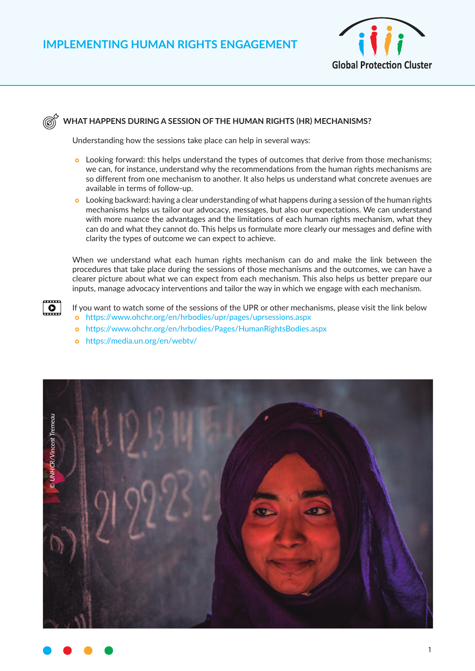

### **WHAT HAPPENS DURING A SESSION OF THE HUMAN RIGHTS (HR) MECHANISMS?**

Understanding how the sessions take place can help in several ways:

- **•** Looking forward: this helps understand the types of outcomes that derive from those mechanisms; we can, for instance, understand why the recommendations from the human rights mechanisms are so different from one mechanism to another. It also helps us understand what concrete avenues are available in terms of follow-up.
- $\bullet$  Looking backward: having a clear understanding of what happens during a session of the human rights mechanisms helps us tailor our advocacy, messages, but also our expectations. We can understand with more nuance the advantages and the limitations of each human rights mechanism, what they can do and what they cannot do. This helps us formulate more clearly our messages and define with clarity the types of outcome we can expect to achieve.

When we understand what each human rights mechanism can do and make the link between the procedures that take place during the sessions of those mechanisms and the outcomes, we can have a clearer picture about what we can expect from each mechanism. This also helps us better prepare our inputs, manage advocacy interventions and tailor the way in which we engage with each mechanism.

- If you want to watch some of the sessions of the UPR or other mechanisms, please visit the link below } <https://www.ohchr.org/en/hrbodies/upr/pages/uprsessions.aspx>
	- } <https://www.ohchr.org/en/hrbodies/Pages/HumanRightsBodies.aspx>
	- o <https://media.un.org/en/webtv/>

 $\overline{\bullet}$ 



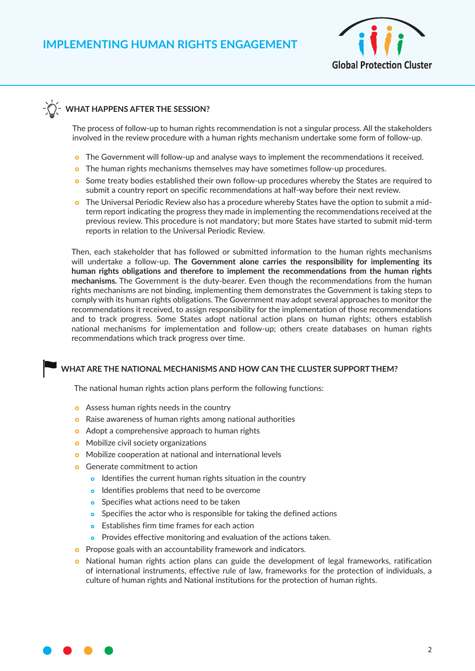

## **WHAT HAPPENS AFTER THE SESSION?**

The process of follow-up to human rights recommendation is not a singular process. All the stakeholders involved in the review procedure with a human rights mechanism undertake some form of follow-up.

- **o** The Government will follow-up and analyse ways to implement the recommendations it received.
- **•** The human rights mechanisms themselves may have sometimes follow-up procedures.
- **o** Some treaty bodies established their own follow-up procedures whereby the States are required to submit a country report on specific recommendations at half-way before their next review.
- o The Universal Periodic Review also has a procedure whereby States have the option to submit a midterm report indicating the progress they made in implementing the recommendations received at the previous review. This procedure is not mandatory; but more States have started to submit mid-term reports in relation to the Universal Periodic Review.

Then, each stakeholder that has followed or submitted information to the human rights mechanisms will undertake a follow-up. **The Government alone carries the responsibility for implementing its human rights obligations and therefore to implement the recommendations from the human rights mechanisms.** The Government is the duty-bearer. Even though the recommendations from the human rights mechanisms are not binding, implementing them demonstrates the Government is taking steps to comply with its human rights obligations. The Government may adopt several approaches to monitor the recommendations it received, to assign responsibility for the implementation of those recommendations and to track progress. Some States adopt national action plans on human rights; others establish national mechanisms for implementation and follow-up; others create databases on human rights recommendations which track progress over time.

#### **WHAT ARE THE NATIONAL MECHANISMS AND HOW CAN THE CLUSTER SUPPORT THEM?**

The national human rights action plans perform the following functions:

- **•** Assess human rights needs in the country
- **o** Raise awareness of human rights among national authorities
- Adopt a comprehensive approach to human rights
- **•** Mobilize civil society organizations
- **•** Mobilize cooperation at national and international levels
- **•** Generate commitment to action
	- **•** Identifies the current human rights situation in the country
	- **o** Identifies problems that need to be overcome
	- **•** Specifies what actions need to be taken
	- **•** Specifies the actor who is responsible for taking the defined actions
	- **•** Establishes firm time frames for each action
	- **•** Provides effective monitoring and evaluation of the actions taken.
- **o** Propose goals with an accountability framework and indicators.
- National human rights action plans can guide the development of legal frameworks, ratification of international instruments, effective rule of law, frameworks for the protection of individuals, a culture of human rights and National institutions for the protection of human rights.